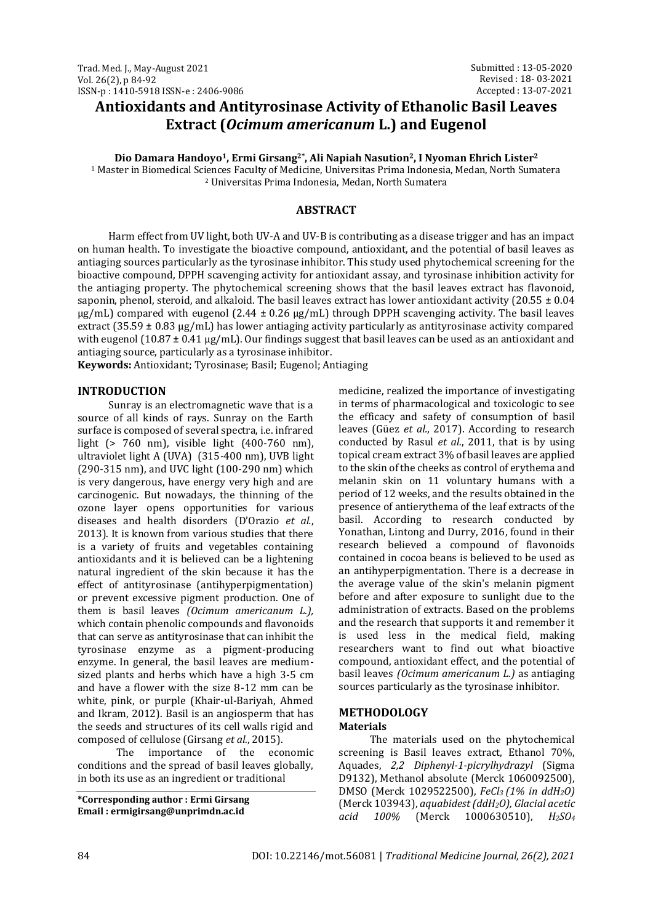# **Antioxidants and Antityrosinase Activity of Ethanolic Basil Leaves Extract (***Ocimum americanum* **L.) and Eugenol**

**Dio Damara Handoyo1, Ermi Girsang2\*, Ali Napiah Nasution2, I Nyoman Ehrich Lister<sup>2</sup>**

<sup>1</sup> Master in Biomedical Sciences Faculty of Medicine, Universitas Prima Indonesia, Medan, North Sumatera <sup>2</sup> Universitas Prima Indonesia, Medan, North Sumatera

# **ABSTRACT**

Harm effect from UV light, both UV-A and UV-B is contributing as a disease trigger and has an impact on human health. To investigate the bioactive compound, antioxidant, and the potential of basil leaves as antiaging sources particularly as the tyrosinase inhibitor. This study used phytochemical screening for the bioactive compound, DPPH scavenging activity for antioxidant assay, and tyrosinase inhibition activity for the antiaging property. The phytochemical screening shows that the basil leaves extract has flavonoid, saponin, phenol, steroid, and alkaloid. The basil leaves extract has lower antioxidant activity (20.55  $\pm$  0.04  $\mu$ g/mL) compared with eugenol (2.44 ± 0.26  $\mu$ g/mL) through DPPH scavenging activity. The basil leaves extract  $(35.59 \pm 0.83 \text{ µg/mL})$  has lower antiaging activity particularly as antityrosinase activity compared with eugenol (10.87  $\pm$  0.41 µg/mL). Our findings suggest that basil leaves can be used as an antioxidant and antiaging source, particularly as a tyrosinase inhibitor.

**Keywords:** Antioxidant; Tyrosinase; Basil; Eugenol; Antiaging

### **INTRODUCTION**

Sunray is an electromagnetic wave that is a source of all kinds of rays. Sunray on the Earth surface is composed of several spectra, i.e. infrared light (> 760 nm), visible light (400-760 nm), ultraviolet light A (UVA) (315-400 nm), UVB light (290-315 nm), and UVC light (100-290 nm) which is very dangerous, have energy very high and are carcinogenic. But nowadays, the thinning of the ozone layer opens opportunities for various diseases and health disorders (D'Orazio *et al.*, 2013). It is known from various studies that there is a variety of fruits and vegetables containing antioxidants and it is believed can be a lightening natural ingredient of the skin because it has the effect of antityrosinase (antihyperpigmentation) or prevent excessive pigment production. One of them is basil leaves *(Ocimum americanum L.),* which contain phenolic compounds and flavonoids that can serve as antityrosinase that can inhibit the tyrosinase enzyme as a pigment-producing enzyme. In general, the basil leaves are mediumsized plants and herbs which have a high 3-5 cm and have a flower with the size 8-12 mm can be white, pink, or purple (Khair-ul-Bariyah, Ahmed and Ikram, 2012). Basil is an angiosperm that has the seeds and structures of its cell walls rigid and composed of cellulose (Girsang *et al.*, 2015).

The importance of the economic conditions and the spread of basil leaves globally, in both its use as an ingredient or traditional

**\*Corresponding author : Ermi Girsang Email : ermigirsang@unprimdn.ac.id**

medicine, realized the importance of investigating in terms of pharmacological and toxicologic to see the efficacy and safety of consumption of basil leaves (Güez *et al.*, 2017). According to research conducted by Rasul *et al.*, 2011, that is by using topical cream extract 3% of basil leaves are applied to the skin of the cheeks as control of erythema and melanin skin on 11 voluntary humans with a period of 12 weeks, and the results obtained in the presence of antierythema of the leaf extracts of the basil. According to research conducted by Yonathan, Lintong and Durry, 2016, found in their research believed a compound of flavonoids contained in cocoa beans is believed to be used as an antihyperpigmentation. There is a decrease in the average value of the skin's melanin pigment before and after exposure to sunlight due to the administration of extracts. Based on the problems and the research that supports it and remember it is used less in the medical field, making researchers want to find out what bioactive compound, antioxidant effect, and the potential of basil leaves *(Ocimum americanum L.)* as antiaging sources particularly as the tyrosinase inhibitor.

# **METHODOLOGY**

## **Materials**

The materials used on the phytochemical screening is Basil leaves extract, Ethanol 70%, Aquades, *2,2 Diphenyl-1-picrylhydrazyl* (Sigma D9132), Methanol absolute (Merck 1060092500), DMSO (Merck 1029522500), *FeCl3 (1% in ddH2O)*  (Merck 103943), *aquabidest (ddH2O), Glacial acetic acid 100%* (Merck 1000630510), *H2SO<sup>4</sup>*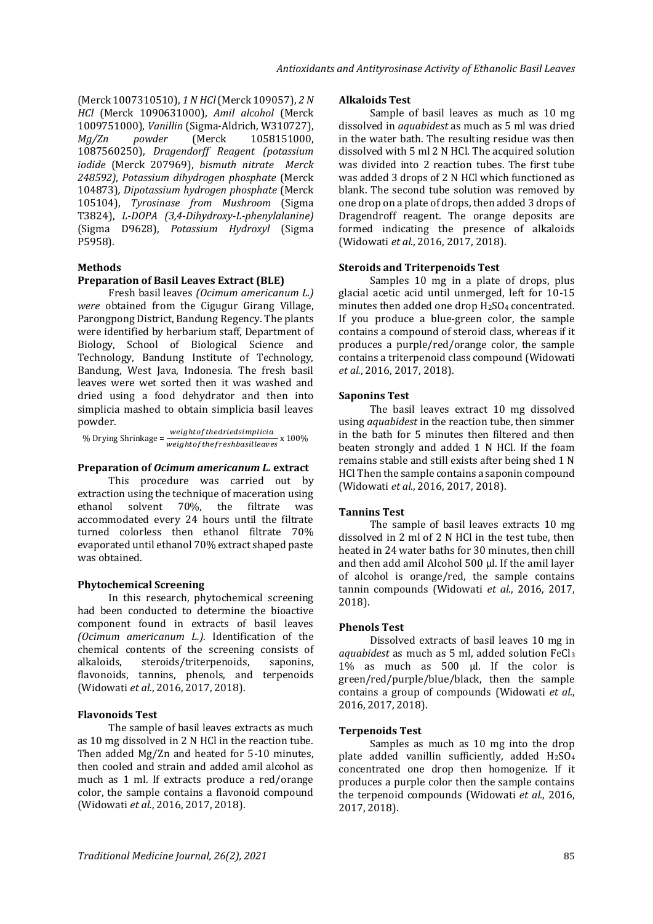(Merck 1007310510), *1 N HCl* (Merck 109057), *2 N HCl* (Merck 1090631000), *Amil alcohol* (Merck 1009751000), *Vanillin* (Sigma-Aldrich, W310727), *Mg/Zn powder* (Merck 1058151000, 1087560250), *Dragendorff Reagent (potassium iodide* (Merck 207969), *bismuth nitrate Merck 248592), Potassium dihydrogen phosphate* (Merck 104873)*, Dipotassium hydrogen phosphate* (Merck 105104), *Tyrosinase from Mushroom* (Sigma T3824), *L-DOPA (3,4-Dihydroxy-L-phenylalanine)* (Sigma D9628), *Potassium Hydroxyl* (Sigma P5958)*.*

### **Methods**

### **Preparation of Basil Leaves Extract (BLE)**

Fresh basil leaves *(Ocimum americanum L.) were* obtained from the Cigugur Girang Village, Parongpong District, Bandung Regency. The plants were identified by herbarium staff, Department of Biology, School of Biological Science and Technology, Bandung Institute of Technology, Bandung, West Java, Indonesia. The fresh basil leaves were wet sorted then it was washed and dried using a food dehydrator and then into simplicia mashed to obtain simplicia basil leaves powder.

% Drying Shrinkage =  $\frac{weight of the dried simplicia}{\frac{1}{2} + \frac{1}{2} + \frac{1}{2}}$ weightof the freshbasilleaves x 100%

### **Preparation of** *Ocimum americanum L.* **extract**

This procedure was carried out by extraction using the technique of maceration using ethanol solvent 70%, the filtrate was accommodated every 24 hours until the filtrate turned colorless then ethanol filtrate 70% evaporated until ethanol 70% extract shaped paste was obtained.

### **Phytochemical Screening**

In this research, phytochemical screening had been conducted to determine the bioactive component found in extracts of basil leaves *(Ocimum americanum L.).* Identification of the chemical contents of the screening consists of alkaloids, steroids/triterpenoids, saponins, flavonoids, tannins, phenols, and terpenoids (Widowati *et al.*, 2016, 2017, 2018).

### **Flavonoids Test**

The sample of basil leaves extracts as much as 10 mg dissolved in 2 N HCl in the reaction tube. Then added Mg/Zn and heated for 5-10 minutes, then cooled and strain and added amil alcohol as much as 1 ml. If extracts produce a red/orange color, the sample contains a flavonoid compound (Widowati *et al.*, 2016, 2017, 2018).

#### **Alkaloids Test**

Sample of basil leaves as much as 10 mg dissolved in *aquabidest* as much as 5 ml was dried in the water bath. The resulting residue was then dissolved with 5 ml 2 N HCl. The acquired solution was divided into 2 reaction tubes. The first tube was added 3 drops of 2 N HCl which functioned as blank. The second tube solution was removed by one drop on a plate of drops, then added 3 drops of Dragendroff reagent. The orange deposits are formed indicating the presence of alkaloids (Widowati *et al.*, 2016, 2017, 2018).

### **Steroids and Triterpenoids Test**

Samples 10 mg in a plate of drops, plus glacial acetic acid until unmerged, left for 10-15 minutes then added one drop H2SO<sup>4</sup> concentrated. If you produce a blue-green color, the sample contains a compound of steroid class, whereas if it produces a purple/red/orange color, the sample contains a triterpenoid class compound (Widowati *et al.*, 2016, 2017, 2018).

#### **Saponins Test**

The basil leaves extract 10 mg dissolved using *aquabidest* in the reaction tube, then simmer in the bath for 5 minutes then filtered and then beaten strongly and added 1 N HCl. If the foam remains stable and still exists after being shed 1 N HCl Then the sample contains a saponin compound (Widowati *et al.*, 2016, 2017, 2018).

### **Tannins Test**

The sample of basil leaves extracts 10 mg dissolved in 2 ml of 2 N HCl in the test tube, then heated in 24 water baths for 30 minutes, then chill and then add amil Alcohol 500 μl. If the amil layer of alcohol is orange/red, the sample contains tannin compounds (Widowati *et al.*, 2016, 2017, 2018).

#### **Phenols Test**

Dissolved extracts of basil leaves 10 mg in *aquabidest* as much as 5 ml, added solution FeCl<sup>3</sup> 1% as much as 500 μl. If the color is green/red/purple/blue/black, then the sample contains a group of compounds (Widowati *et al.*, 2016, 2017, 2018).

#### **Terpenoids Test**

Samples as much as 10 mg into the drop plate added vanillin sufficiently, added  $H<sub>2</sub>SO<sub>4</sub>$ concentrated one drop then homogenize. If it produces a purple color then the sample contains the terpenoid compounds (Widowati *et al.*, 2016, 2017, 2018).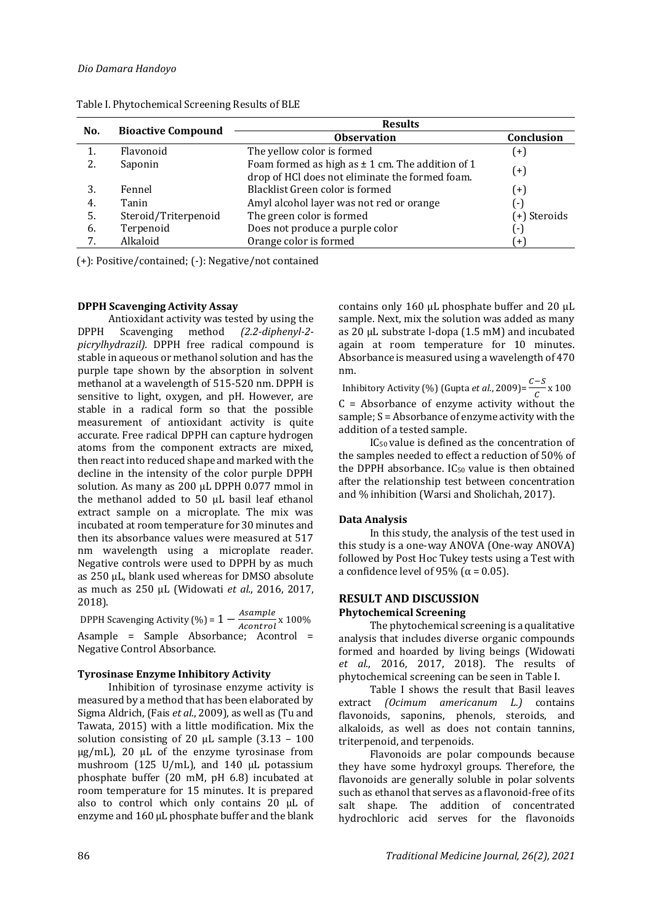|     |                           | <b>Results</b>                                                                                          |              |  |  |
|-----|---------------------------|---------------------------------------------------------------------------------------------------------|--------------|--|--|
| No. | <b>Bioactive Compound</b> | <b>Observation</b>                                                                                      | Conclusion   |  |  |
|     | Flavonoid                 | The yellow color is formed                                                                              | $(+)$        |  |  |
| 2.  | Saponin                   | Foam formed as high as $\pm$ 1 cm. The addition of 1<br>drop of HCl does not eliminate the formed foam. | $^{(+)}$     |  |  |
| 3.  | Fennel                    | Blacklist Green color is formed                                                                         | $^{(+)}$     |  |  |
| 4.  | Tanin                     | Amyl alcohol layer was not red or orange                                                                | ( - )        |  |  |
| 5.  | Steroid/Triterpenoid      | The green color is formed                                                                               | (+) Steroids |  |  |
| 6.  | Terpenoid                 | Does not produce a purple color                                                                         | ( - )        |  |  |
|     | Alkaloid                  | Orange color is formed                                                                                  | (+)          |  |  |

Table I. Phytochemical Screening Results of BLE

(+): Positive/contained; (-): Negative/not contained

# **DPPH Scavenging Activity Assay**

Antioxidant activity was tested by using the DPPH Scavenging method *(2.2-diphenyl-2 picrylhydrazil).* DPPH free radical compound is stable in aqueous or methanol solution and has the purple tape shown by the absorption in solvent methanol at a wavelength of 515-520 nm. DPPH is sensitive to light, oxygen, and pH. However, are stable in a radical form so that the possible measurement of antioxidant activity is quite accurate. Free radical DPPH can capture hydrogen atoms from the component extracts are mixed, then react into reduced shape and marked with the decline in the intensity of the color purple DPPH solution*.* As many as 200 µL DPPH 0.077 mmol in the methanol added to 50 µL basil leaf ethanol extract sample on a microplate. The mix was incubated at room temperature for 30 minutes and then its absorbance values were measured at 517 nm wavelength using a microplate reader. Negative controls were used to DPPH by as much as 250 µL, blank used whereas for DMSO absolute as much as 250 µL (Widowati *et al.*, 2016, 2017, 2018).

DPPH Scavenging Activity (%) =  $1 - \frac{Asample}{Asample}$  $\frac{150}{Acontrol}$  x 100% Asample = Sample Absorbance; Acontrol = Negative Control Absorbance.

### **Tyrosinase Enzyme Inhibitory Activity**

Inhibition of tyrosinase enzyme activity is measured by a method that has been elaborated by Sigma Aldrich, (Fais *et al.*, 2009), as well as (Tu and Tawata, 2015) with a little modification. Mix the solution consisting of 20  $\mu$ L sample (3.13 - 100) µg/mL), 20 µL of the enzyme tyrosinase from mushroom (125 U/mL), and 140 µL potassium phosphate buffer (20 mM, pH 6.8) incubated at room temperature for 15 minutes. It is prepared also to control which only contains 20 µL of enzyme and 160 µL phosphate buffer and the blank

contains only 160  $\mu$ L phosphate buffer and 20  $\mu$ L sample. Next, mix the solution was added as many as 20 µL substrate l-dopa (1.5 mM) and incubated again at room temperature for 10 minutes. Absorbance is measured using a wavelength of 470 nm.

Inhibitory Activity (%) (Gupta *et al.*, 2009)= $\frac{C-S}{2}$  $\frac{c}{c} \times 100$  $C =$  Absorbance of enzyme activity without the sample; S = Absorbance of enzyme activity with the addition of a tested sample.

IC50 value is defined as the concentration of the samples needed to effect a reduction of 50% of the DPPH absorbance.  $IC_{50}$  value is then obtained after the relationship test between concentration and % inhibition (Warsi and Sholichah, 2017).

### **Data Analysis**

In this study, the analysis of the test used in this study is a one-way ANOVA (One-way ANOVA) followed by Post Hoc Tukey tests using a Test with a confidence level of 95% ( $\alpha$  = 0.05).

# **RESULT AND DISCUSSION Phytochemical Screening**

The phytochemical screening is a qualitative analysis that includes diverse organic compounds formed and hoarded by living beings (Widowati *et al.*, 2016, 2017, 2018). The results of phytochemical screening can be seen in Table I.

Table I shows the result that Basil leaves extract *(Ocimum americanum L.)* contains flavonoids, saponins, phenols, steroids, and alkaloids, as well as does not contain tannins, triterpenoid, and terpenoids.

Flavonoids are polar compounds because they have some hydroxyl groups. Therefore, the flavonoids are generally soluble in polar solvents such as ethanol that serves as a flavonoid-free of its salt shape. The addition of concentrated hydrochloric acid serves for the flavonoids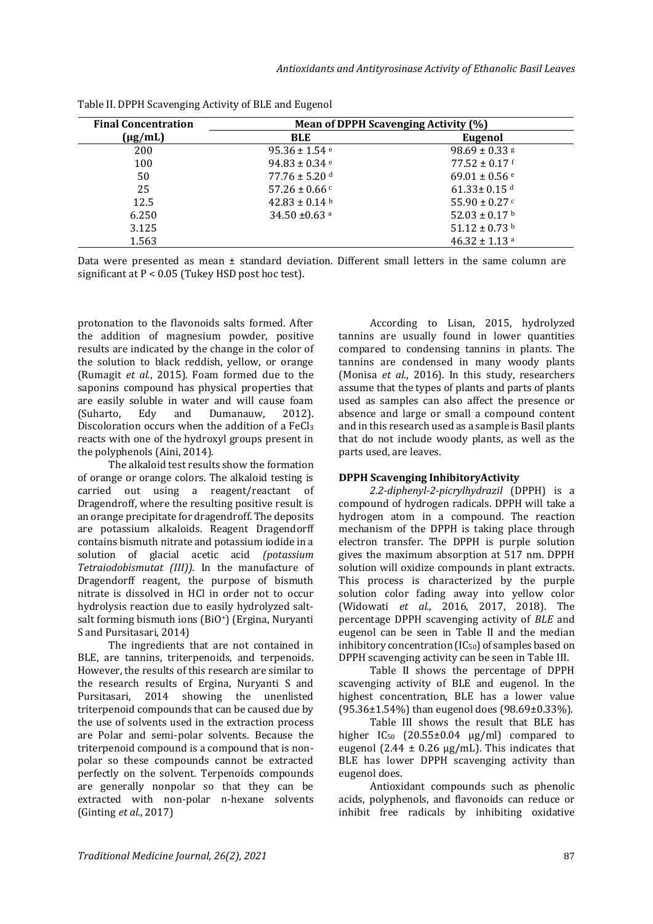| <b>Final Concentration</b> | Mean of DPPH Scavenging Activity (%) |                               |  |
|----------------------------|--------------------------------------|-------------------------------|--|
| $(\mu g/mL)$               | <b>BLE</b>                           | Eugenol                       |  |
| 200                        | 95.36 ± 1.54 $e$                     | $98.69 \pm 0.33$ g            |  |
| 100                        | 94.83 ± 0.34 $e$                     | $77.52 \pm 0.17$ f            |  |
| 50                         | $77.76 \pm 5.20$ d                   | $69.01 \pm 0.56$ <sup>e</sup> |  |
| 25                         | $57.26 \pm 0.66$ c                   | $61.33 \pm 0.15$ <sup>d</sup> |  |
| 12.5                       | $42.83 \pm 0.14$ b                   | 55.90 $\pm$ 0.27 $\degree$    |  |
| 6.250                      | 34.50 $\pm$ 0.63 a                   | 52.03 ± 0.17 b                |  |
| 3.125                      |                                      | $51.12 \pm 0.73$ b            |  |
| 1.563                      |                                      | $46.32 \pm 1.13$ <sup>a</sup> |  |

| Table II. DPPH Scavenging Activity of BLE and Eugenol |  |  |
|-------------------------------------------------------|--|--|
|                                                       |  |  |

Data were presented as mean  $\pm$  standard deviation. Different small letters in the same column are significant at P < 0.05 (Tukey HSD post hoc test).

protonation to the flavonoids salts formed. After the addition of magnesium powder, positive results are indicated by the change in the color of the solution to black reddish, yellow, or orange (Rumagit *et al.*, 2015). Foam formed due to the saponins compound has physical properties that are easily soluble in water and will cause foam (Suharto, Edy and Dumanauw, 2012). Discoloration occurs when the addition of a FeCl<sup>3</sup> reacts with one of the hydroxyl groups present in the polyphenols (Aini, 2014).

The alkaloid test results show the formation of orange or orange colors. The alkaloid testing is carried out using a reagent/reactant of Dragendroff, where the resulting positive result is an orange precipitate for dragendroff. The deposits are potassium alkaloids. Reagent Dragendorff contains bismuth nitrate and potassium iodide in a solution of glacial acetic acid *(potassium Tetraiodobismutat (III)).* In the manufacture of Dragendorff reagent, the purpose of bismuth nitrate is dissolved in HCl in order not to occur hydrolysis reaction due to easily hydrolyzed saltsalt forming bismuth ions (BiO+) (Ergina, Nuryanti S and Pursitasari, 2014)

The ingredients that are not contained in BLE, are tannins, triterpenoids, and terpenoids. However, the results of this research are similar to the research results of Ergina, Nuryanti S and Pursitasari, 2014 showing the unenlisted triterpenoid compounds that can be caused due by the use of solvents used in the extraction process are Polar and semi-polar solvents. Because the triterpenoid compound is a compound that is nonpolar so these compounds cannot be extracted perfectly on the solvent. Terpenoids compounds are generally nonpolar so that they can be extracted with non-polar n-hexane solvents (Ginting *et al.*, 2017)

According to Lisan, 2015, hydrolyzed tannins are usually found in lower quantities compared to condensing tannins in plants. The tannins are condensed in many woody plants (Monisa *et al.*, 2016). In this study, researchers assume that the types of plants and parts of plants used as samples can also affect the presence or absence and large or small a compound content and in this research used as a sample is Basil plants that do not include woody plants, as well as the parts used, are leaves.

### **DPPH Scavenging InhibitoryActivity**

*2.2-diphenyl-2-picrylhydrazil* (DPPH) is a compound of hydrogen radicals. DPPH will take a hydrogen atom in a compound. The reaction mechanism of the DPPH is taking place through electron transfer. The DPPH is purple solution gives the maximum absorption at 517 nm. DPPH solution will oxidize compounds in plant extracts. This process is characterized by the purple solution color fading away into yellow color (Widowati *et al.*, 2016, 2017, 2018). The percentage DPPH scavenging activity of *BLE* and eugenol can be seen in Table II and the median inhibitory concentration  $(IC_{50})$  of samples based on DPPH scavenging activity can be seen in Table III.

Table II shows the percentage of DPPH scavenging activity of BLE and eugenol. In the highest concentration, BLE has a lower value (95.36±1.54%) than eugenol does (98.69±0.33%).

Table III shows the result that BLE has higher  $IC_{50}$   $(20.55\pm0.04 \text{ µg/ml})$  compared to eugenol (2.44  $\pm$  0.26 μg/mL). This indicates that BLE has lower DPPH scavenging activity than eugenol does.

Antioxidant compounds such as phenolic acids, polyphenols, and flavonoids can reduce or inhibit free radicals by inhibiting oxidative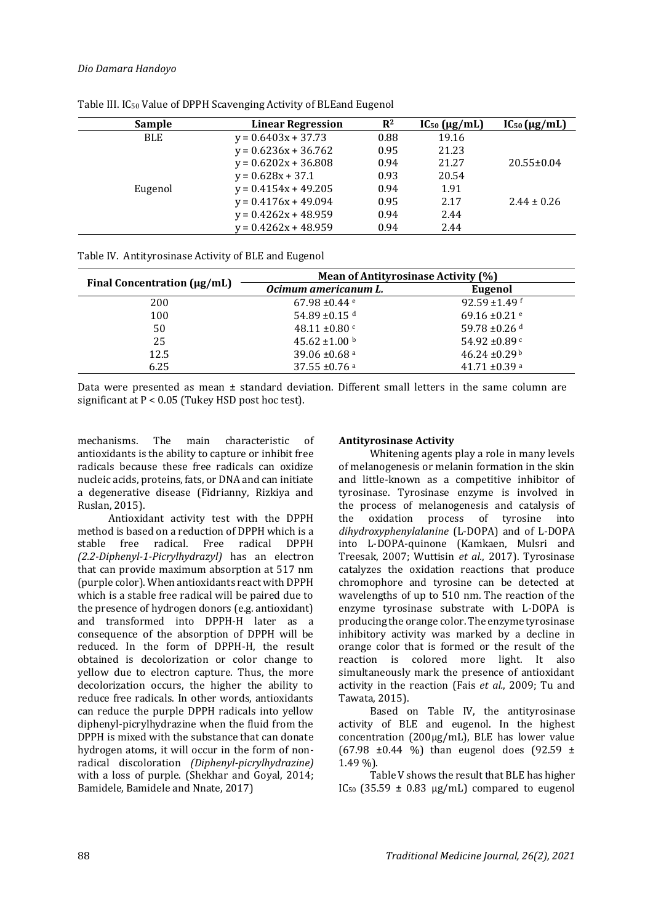# *Dio Damara Handoyo*

| <b>Sample</b> | <b>Linear Regression</b> | $\mathbb{R}^2$ | $IC_{50}$ ( $\mu$ g/mL) | $IC_{50}$ ( $\mu$ g/mL) |
|---------------|--------------------------|----------------|-------------------------|-------------------------|
| <b>BLE</b>    | $y = 0.6403x + 37.73$    | 0.88           | 19.16                   |                         |
|               | $y = 0.6236x + 36.762$   | 0.95           | 21.23                   |                         |
|               | $y = 0.6202x + 36.808$   | 0.94           | 21.27                   | $20.55 \pm 0.04$        |
|               | $y = 0.628x + 37.1$      | 0.93           | 20.54                   |                         |
| Eugenol       | $y = 0.4154x + 49.205$   | 0.94           | 1.91                    |                         |
|               | $y = 0.4176x + 49.094$   | 0.95           | 2.17                    | $2.44 \pm 0.26$         |
|               | $y = 0.4262x + 48.959$   | 0.94           | 2.44                    |                         |
|               | $y = 0.4262x + 48.959$   | 0.94           | 2.44                    |                         |

Table III. IC<sup>50</sup> Value of DPPH Scavenging Activity of BLEand Eugenol

|  | Table IV. Antityrosinase Activity of BLE and Eugenol |  |  |
|--|------------------------------------------------------|--|--|
|--|------------------------------------------------------|--|--|

|                             | Mean of Antityrosinase Activity (%) |                               |  |  |
|-----------------------------|-------------------------------------|-------------------------------|--|--|
| Final Concentration (µg/mL) | Ocimum americanum L.                | Eugenol                       |  |  |
| 200                         | 67.98 $\pm$ 0.44 $\degree$          | 92.59 ±1.49 $f$               |  |  |
| 100                         | 54.89 ±0.15 $d$                     | 69.16 $\pm$ 0.21 $\degree$    |  |  |
| 50                          | 48.11 $\pm 0.80$ c                  | 59.78 $\pm$ 0.26 d            |  |  |
| 25                          | 45.62 $\pm$ 1.00 b                  | 54.92 ±0.89 $c$               |  |  |
| 12.5                        | 39.06 $\pm$ 0.68 a                  | $46.24 \pm 0.29$ <sup>b</sup> |  |  |
| 6.25                        | $37.55 \pm 0.76$ <sup>a</sup>       | $41.71 \pm 0.39$ <sup>a</sup> |  |  |

Data were presented as mean  $\pm$  standard deviation. Different small letters in the same column are significant at  $P < 0.05$  (Tukey HSD post hoc test).

mechanisms. The main characteristic of antioxidants is the ability to capture or inhibit free radicals because these free radicals can oxidize nucleic acids, proteins, fats, or DNA and can initiate a degenerative disease (Fidrianny, Rizkiya and Ruslan, 2015).

Antioxidant activity test with the DPPH method is based on a reduction of DPPH which is a stable free radical. Free radical DPPH *(2.2-Diphenyl-1-Picrylhydrazyl)* has an electron that can provide maximum absorption at 517 nm (purple color). When antioxidants react with DPPH which is a stable free radical will be paired due to the presence of hydrogen donors (e.g. antioxidant) and transformed into DPPH-H later as a consequence of the absorption of DPPH will be reduced. In the form of DPPH-H, the result obtained is decolorization or color change to yellow due to electron capture. Thus, the more decolorization occurs, the higher the ability to reduce free radicals. In other words, antioxidants can reduce the purple DPPH radicals into yellow diphenyl-picrylhydrazine when the fluid from the DPPH is mixed with the substance that can donate hydrogen atoms, it will occur in the form of nonradical discoloration *(Diphenyl-picrylhydrazine)* with a loss of purple. (Shekhar and Goyal, 2014; Bamidele, Bamidele and Nnate, 2017)

# **Antityrosinase Activity**

Whitening agents play a role in many levels of melanogenesis or melanin formation in the skin and little-known as a competitive inhibitor of tyrosinase. Tyrosinase enzyme is involved in the process of melanogenesis and catalysis of the oxidation process of tyrosine into *dihydroxyphenylalanine* (L-DOPA) and of L-DOPA into L-DOPA-quinone (Kamkaen, Mulsri and Treesak, 2007; Wuttisin *et al.*, 2017). Tyrosinase catalyzes the oxidation reactions that produce chromophore and tyrosine can be detected at wavelengths of up to 510 nm. The reaction of the enzyme tyrosinase substrate with L-DOPA is producing the orange color. The enzyme tyrosinase inhibitory activity was marked by a decline in orange color that is formed or the result of the reaction is colored more light. It also simultaneously mark the presence of antioxidant activity in the reaction (Fais *et al.*, 2009; Tu and Tawata, 2015).

Based on Table IV, the antityrosinase activity of BLE and eugenol. In the highest concentration (200µg/mL), BLE has lower value (67.98  $\pm$ 0.44 %) than eugenol does (92.59  $\pm$ 1.49 %).

Table V shows the result that BLE has higher IC<sub>50</sub> (35.59  $\pm$  0.83  $\mu$ g/mL) compared to eugenol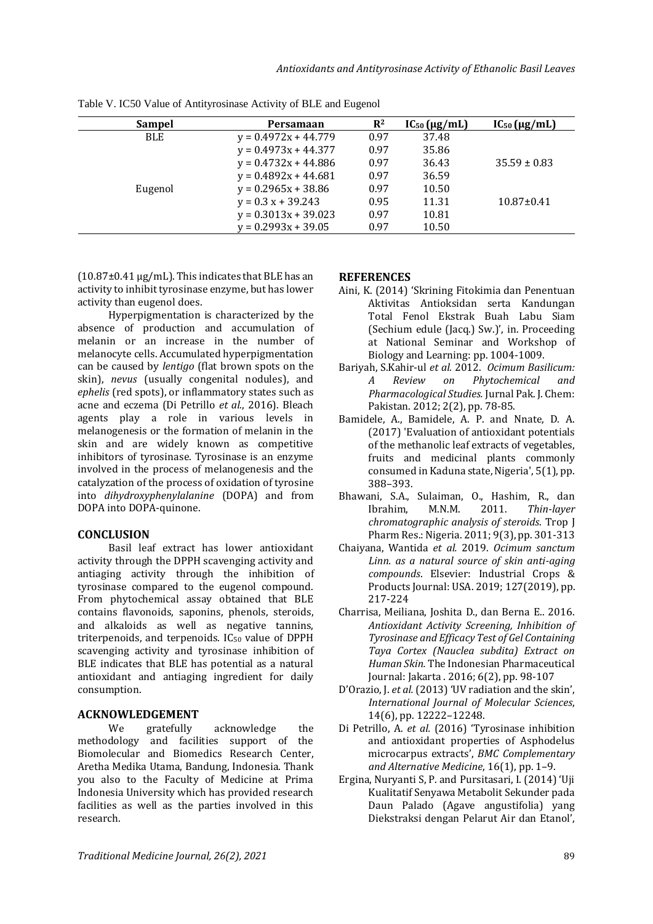| Sampel  | Persamaan              | $\mathbb{R}^2$ | $IC_{50}$ ( $\mu$ g/mL) | $IC_{50}$ (µg/mL) |
|---------|------------------------|----------------|-------------------------|-------------------|
| BLE.    | $y = 0.4972x + 44.779$ | 0.97           | 37.48                   |                   |
|         | $y = 0.4973x + 44.377$ | 0.97           | 35.86                   |                   |
|         | $y = 0.4732x + 44.886$ | 0.97           | 36.43                   | $35.59 \pm 0.83$  |
|         | $y = 0.4892x + 44.681$ | 0.97           | 36.59                   |                   |
| Eugenol | $y = 0.2965x + 38.86$  | 0.97           | 10.50                   |                   |
|         | $y = 0.3 x + 39.243$   | 0.95           | 11.31                   | $10.87 \pm 0.41$  |
|         | $y = 0.3013x + 39.023$ | 0.97           | 10.81                   |                   |
|         | $y = 0.2993x + 39.05$  | 0.97           | 10.50                   |                   |

Table V. IC50 Value of Antityrosinase Activity of BLE and Eugenol

 $(10.87\pm0.41 \,\mu g/mL)$ . This indicates that BLE has an activity to inhibit tyrosinase enzyme, but has lower activity than eugenol does.

Hyperpigmentation is characterized by the absence of production and accumulation of melanin or an increase in the number of melanocyte cells. Accumulated hyperpigmentation can be caused by *lentigo* (flat brown spots on the skin), *nevus* (usually congenital nodules), and *ephelis* (red spots), or inflammatory states such as acne and eczema (Di Petrillo *et al.*, 2016). Bleach agents play a role in various levels in melanogenesis or the formation of melanin in the skin and are widely known as competitive inhibitors of tyrosinase. Tyrosinase is an enzyme involved in the process of melanogenesis and the catalyzation of the process of oxidation of tyrosine into *dihydroxyphenylalanine* (DOPA) and from DOPA into DOPA-quinone.

# **CONCLUSION**

Basil leaf extract has lower antioxidant activity through the DPPH scavenging activity and antiaging activity through the inhibition of tyrosinase compared to the eugenol compound. From phytochemical assay obtained that BLE contains flavonoids, saponins, phenols, steroids, and alkaloids as well as negative tannins, triterpenoids, and terpenoids. IC<sup>50</sup> value of DPPH scavenging activity and tyrosinase inhibition of BLE indicates that BLE has potential as a natural antioxidant and antiaging ingredient for daily consumption.

# **ACKNOWLEDGEMENT**

We gratefully acknowledge the methodology and facilities support of the Biomolecular and Biomedics Research Center, Aretha Medika Utama, Bandung, Indonesia. Thank you also to the Faculty of Medicine at Prima Indonesia University which has provided research facilities as well as the parties involved in this research.

## **REFERENCES**

- Aini, K. (2014) 'Skrining Fitokimia dan Penentuan Aktivitas Antioksidan serta Kandungan Total Fenol Ekstrak Buah Labu Siam (Sechium edule (Jacq.) Sw.)', in. Proceeding at National Seminar and Workshop of Biology and Learning: pp. 1004-1009.
- Bariyah, S.Kahir-ul *et al.* 2012. *Ocimum Basilicum: A Review on Phytochemical and Pharmacological Studies.* Jurnal Pak. J. Chem: Pakistan. 2012; 2(2), pp. 78-85.
- Bamidele, A., Bamidele, A. P. and Nnate, D. A. (2017) 'Evaluation of antioxidant potentials of the methanolic leaf extracts of vegetables, fruits and medicinal plants commonly consumed in Kaduna state, Nigeria', 5(1), pp. 388–393.
- Bhawani, S.A., Sulaiman, O., Hashim, R., dan Ibrahim, M.N.M. 2011. *Thin-layer chromatographic analysis of steroids*. Trop J Pharm Res.: Nigeria. 2011; 9(3), pp. 301-313
- Chaiyana, Wantida *et al.* 2019. *Ocimum sanctum Linn. as a natural source of skin anti-aging compounds*. Elsevier: Industrial Crops & Products Journal: USA. 2019; 127(2019), pp. 217-224
- Charrisa, Meiliana, Joshita D., dan Berna E.. 2016. *Antioxidant Activity Screening, Inhibition of Tyrosinase and Efficacy Test of Gel Containing Taya Cortex (Nauclea subdita) Extract on Human Skin.* The Indonesian Pharmaceutical Journal: Jakarta . 2016; 6(2), pp. 98-107
- D'Orazio, J. *et al.* (2013) 'UV radiation and the skin', *International Journal of Molecular Sciences*, 14(6), pp. 12222–12248.
- Di Petrillo, A. *et al.* (2016) 'Tyrosinase inhibition and antioxidant properties of Asphodelus microcarpus extracts', *BMC Complementary and Alternative Medicine*, 16(1), pp. 1–9.
- Ergina, Nuryanti S, P. and Pursitasari, I. (2014) 'Uji Kualitatif Senyawa Metabolit Sekunder pada Daun Palado (Agave angustifolia) yang Diekstraksi dengan Pelarut Air dan Etanol',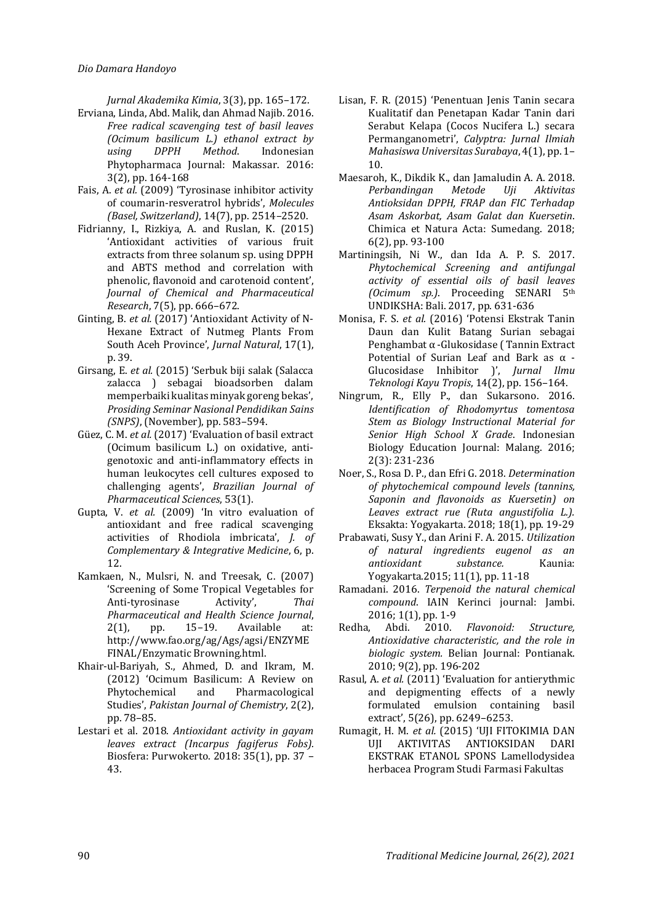*Jurnal Akademika Kimia*, 3(3), pp. 165–172.

- Erviana, Linda, Abd. Malik, dan Ahmad Najib. 2016. *Free radical scavenging test of basil leaves (Ocimum basilicum L.) ethanol extract by using DPPH Method*. Indonesian Phytopharmaca Journal: Makassar. 2016: 3(2), pp. 164-168
- Fais, A. *et al.* (2009) 'Tyrosinase inhibitor activity of coumarin-resveratrol hybrids', *Molecules (Basel, Switzerland)*, 14(7), pp. 2514–2520.
- Fidrianny, I., Rizkiya, A. and Ruslan, K. (2015) 'Antioxidant activities of various fruit extracts from three solanum sp. using DPPH and ABTS method and correlation with phenolic, flavonoid and carotenoid content', *Journal of Chemical and Pharmaceutical Research*, 7(5), pp. 666–672.
- Ginting, B. *et al.* (2017) 'Antioxidant Activity of N-Hexane Extract of Nutmeg Plants From South Aceh Province', *Jurnal Natural*, 17(1), p. 39.
- Girsang, E. *et al.* (2015) 'Serbuk biji salak (Salacca zalacca ) sebagai bioadsorben dalam memperbaiki kualitas minyak goreng bekas', *Prosiding Seminar Nasional Pendidikan Sains (SNPS)*, (November), pp. 583–594.
- Güez, C. M. *et al.* (2017) 'Evaluation of basil extract (Ocimum basilicum L.) on oxidative, antigenotoxic and anti-inflammatory effects in human leukocytes cell cultures exposed to challenging agents', *Brazilian Journal of Pharmaceutical Sciences*, 53(1).
- Gupta, V. *et al.* (2009) 'In vitro evaluation of antioxidant and free radical scavenging activities of Rhodiola imbricata', *J. of Complementary & Integrative Medicine*, 6, p. 12.
- Kamkaen, N., Mulsri, N. and Treesak, C. (2007) 'Screening of Some Tropical Vegetables for Anti-tyrosinase Activity', *Thai Pharmaceutical and Health Science Journal*, 2(1), pp. 15–19. Available at: http://www.fao.org/ag/Ags/agsi/ENZYME FINAL/Enzymatic Browning.html.
- Khair-ul-Bariyah, S., Ahmed, D. and Ikram, M. (2012) 'Ocimum Basilicum: A Review on Phytochemical and Pharmacological Studies', *Pakistan Journal of Chemistry*, 2(2), pp. 78–85.
- Lestari et al. 2018. *Antioxidant activity in gayam leaves extract (Incarpus fagiferus Fobs).*  Biosfera: Purwokerto. 2018: 35(1), pp. 37 – 43.
- Lisan, F. R. (2015) 'Penentuan Jenis Tanin secara Kualitatif dan Penetapan Kadar Tanin dari Serabut Kelapa (Cocos Nucifera L.) secara Permanganometri', *Calyptra: Jurnal Ilmiah Mahasiswa Universitas Surabaya*, 4(1), pp. 1– 10.
- Maesaroh, K., Dikdik K., dan Jamaludin A. A. 2018. *Perbandingan Metode Uji Aktivitas Antioksidan DPPH, FRAP dan FIC Terhadap Asam Askorbat, Asam Galat dan Kuersetin*. Chimica et Natura Acta: Sumedang. 2018; 6(2), pp. 93-100
- Martiningsih, Ni W., dan Ida A. P. S. 2017. *Phytochemical Screening and antifungal activity of essential oils of basil leaves (Ocimum sp.)*. Proceeding SENARI 5th UNDIKSHA: Bali. 2017, pp. 631-636
- Monisa, F. S. *et al.* (2016) 'Potensi Ekstrak Tanin Daun dan Kulit Batang Surian sebagai Penghambat α -Glukosidase ( Tannin Extract Potential of Surian Leaf and Bark as α - Glucosidase Inhibitor )', *Jurnal Ilmu Teknologi Kayu Tropis*, 14(2), pp. 156–164.
- Ningrum, R., Elly P., dan Sukarsono. 2016. *Identification of Rhodomyrtus tomentosa Stem as Biology Instructional Material for Senior High School X Grade*. Indonesian Biology Education Journal: Malang. 2016; 2(3): 231-236
- Noer, S., Rosa D. P., dan Efri G. 2018. *Determination of phytochemical compound levels (tannins, Saponin and flavonoids as Kuersetin) on Leaves extract rue (Ruta angustifolia L.).*  Eksakta: Yogyakarta. 2018; 18(1), pp. 19-29
- Prabawati, Susy Y., dan Arini F. A. 2015. *Utilization of natural ingredients eugenol as an antioxidant substance.* Kaunia: Yogyakarta.2015; 11(1), pp. 11-18
- Ramadani. 2016. *Terpenoid the natural chemical compound*. IAIN Kerinci journal: Jambi. 2016; 1(1), pp. 1-9
- Redha, Abdi. 2010. *Flavonoid: Structure, Antioxidative characteristic, and the role in biologic system.* Belian Journal: Pontianak. 2010; 9(2), pp. 196-202
- Rasul, A. *et al.* (2011) 'Evaluation for antierythmic and depigmenting effects of a newly formulated emulsion containing basil extract', 5(26), pp. 6249–6253.
- Rumagit, H. M. *et al.* (2015) 'UJI FITOKIMIA DAN UJI AKTIVITAS ANTIOKSIDAN DARI EKSTRAK ETANOL SPONS Lamellodysidea herbacea Program Studi Farmasi Fakultas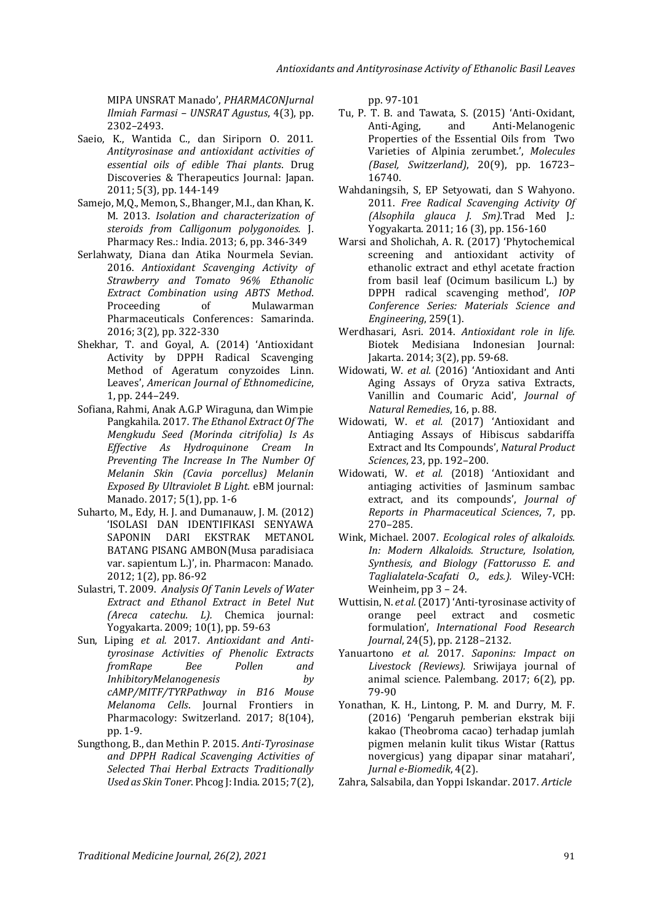MIPA UNSRAT Manado', *PHARMACONJurnal Ilmiah Farmasi – UNSRAT Agustus*, 4(3), pp. 2302–2493.

- Saeio, K., Wantida C., dan Siriporn O. 2011. *Antityrosinase and antioxidant activities of essential oils of edible Thai plants*. Drug Discoveries & Therapeutics Journal: Japan. 2011; 5(3), pp. 144-149
- Samejo, M,Q., Memon, S., Bhanger, M.I., dan Khan, K. M. 2013. *Isolation and characterization of steroids from Calligonum polygonoides.* J. Pharmacy Res*.*: India. 2013; 6, pp. 346-349
- Serlahwaty, Diana dan Atika Nourmela Sevian. 2016. *Antioxidant Scavenging Activity of Strawberry and Tomato 96% Ethanolic Extract Combination using ABTS Method*. Proceeding of Mulawarman Pharmaceuticals Conferences: Samarinda. 2016; 3(2), pp. 322-330
- Shekhar, T. and Goyal, A. (2014) 'Antioxidant Activity by DPPH Radical Scavenging Method of Ageratum conyzoides Linn. Leaves', *American Journal of Ethnomedicine*, 1, pp. 244–249.
- Sofiana, Rahmi, Anak A.G.P Wiraguna, dan Wimpie Pangkahila. 2017*. The Ethanol Extract Of The Mengkudu Seed (Morinda citrifolia) Is As Effective As Hydroquinone Cream In Preventing The Increase In The Number Of Melanin Skin (Cavia porcellus) Melanin Exposed By Ultraviolet B Light.* eBM journal: Manado. 2017; 5(1), pp. 1-6
- Suharto, M., Edy, H. J. and Dumanauw, J. M. (2012) 'ISOLASI DAN IDENTIFIKASI SENYAWA SAPONIN DARI EKSTRAK METANOL BATANG PISANG AMBON(Musa paradisiaca var. sapientum L.)', in. Pharmacon: Manado. 2012; 1(2), pp. 86-92
- Sulastri, T. 2009. *Analysis Of Tanin Levels of Water Extract and Ethanol Extract in Betel Nut (Areca catechu. L).* Chemica journal: Yogyakarta. 2009; 10(1), pp. 59-63
- Sun, Liping *et al.* 2017. *Antioxidant and Antityrosinase Activities of Phenolic Extracts fromRape Bee Pollen and InhibitoryMelanogenesis by cAMP/MITF/TYRPathway in B16 Mouse Melanoma Cells*. Journal Frontiers in Pharmacology: Switzerland. 2017; 8(104), pp. 1-9.
- Sungthong, B., dan Methin P. 2015. *Anti-Tyrosinase and DPPH Radical Scavenging Activities of Selected Thai Herbal Extracts Traditionally Used as Skin Toner*. Phcog J: India. 2015; 7(2),

pp. 97-101

- Tu, P. T. B. and Tawata, S. (2015) 'Anti-Oxidant, Anti-Aging, and Anti-Melanogenic Properties of the Essential Oils from Two Varieties of Alpinia zerumbet.', *Molecules (Basel, Switzerland)*, 20(9), pp. 16723– 16740.
- Wahdaningsih, S, EP Setyowati, dan S Wahyono. 2011. *Free Radical Scavenging Activity Of (Alsophila glauca J. Sm).*Trad Med J.: Yogyakarta. 2011; 16 (3), pp. 156-160
- Warsi and Sholichah, A. R. (2017) 'Phytochemical screening and antioxidant activity of ethanolic extract and ethyl acetate fraction from basil leaf (Ocimum basilicum L.) by DPPH radical scavenging method', *IOP Conference Series: Materials Science and Engineering*, 259(1).
- Werdhasari, Asri. 2014. *Antioxidant role in life.* Biotek Medisiana Indonesian Journal: Jakarta. 2014; 3(2), pp. 59-68.
- Widowati, W. *et al.* (2016) 'Antioxidant and Anti Aging Assays of Oryza sativa Extracts, Vanillin and Coumaric Acid', *Journal of Natural Remedies*, 16, p. 88.
- Widowati, W. *et al.* (2017) 'Antioxidant and Antiaging Assays of Hibiscus sabdariffa Extract and Its Compounds', *Natural Product Sciences*, 23, pp. 192–200.
- Widowati, W. *et al.* (2018) 'Antioxidant and antiaging activities of Jasminum sambac extract, and its compounds', *Journal of Reports in Pharmaceutical Sciences*, 7, pp. 270–285.
- Wink, Michael. 2007. *Ecological roles of alkaloids. In: Modern Alkaloids. Structure, Isolation, Synthesis, and Biology (Fattorusso E. and Taglialatela-Scafati O., eds.).* Wiley-VCH: Weinheim, pp 3 – 24.
- Wuttisin, N. *et al.*(2017) 'Anti-tyrosinase activity of orange peel extract and cosmetic formulation', *International Food Research Journal*, 24(5), pp. 2128–2132.
- Yanuartono *et al.* 2017. *Saponins: Impact on Livestock (Reviews).* Sriwijaya journal of animal science. Palembang. 2017; 6(2), pp. 79-90
- Yonathan, K. H., Lintong, P. M. and Durry, M. F. (2016) 'Pengaruh pemberian ekstrak biji kakao (Theobroma cacao) terhadap jumlah pigmen melanin kulit tikus Wistar (Rattus novergicus) yang dipapar sinar matahari', *Jurnal e-Biomedik*, 4(2).
- Zahra, Salsabila, dan Yoppi Iskandar. 2017. *Article*